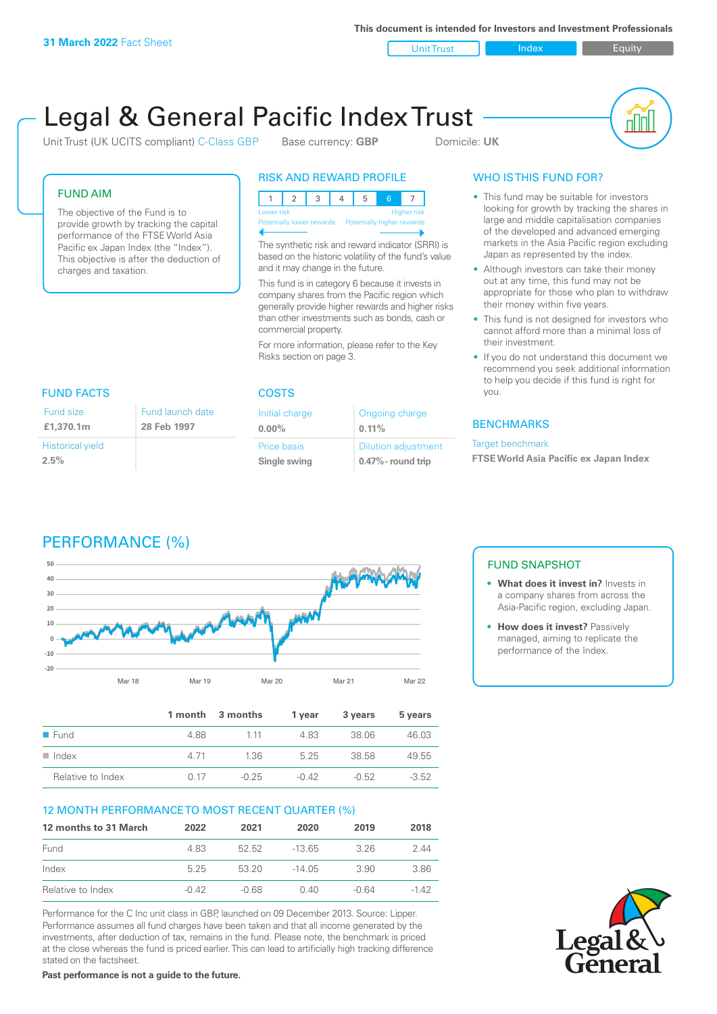**This document is intended for Investors and Investment Professionals**

Unit Trust Index I Equity

# Legal & General Pacific Index Trust

Unit Trust (UK UCITS compliant) C-Class GBP Base currency: **GBP** Domicile: UK



#### FUND AIM

The objective of the Fund is to provide growth by tracking the capital performance of the FTSE World Asia Pacific ex Japan Index (the "Index"). This objective is after the deduction of charges and taxation.

#### RISK AND REWARD PROFILE

| <b>Higher risk</b><br>Lower risk                     |  |  |  |  |  |  |  |
|------------------------------------------------------|--|--|--|--|--|--|--|
| Potentially lower rewards Potentially higher rewards |  |  |  |  |  |  |  |
|                                                      |  |  |  |  |  |  |  |

The synthetic risk and reward indicator (SRRI) is based on the historic volatility of the fund's value and it may change in the future.

This fund is in category 6 because it invests in company shares from the Pacific region which generally provide higher rewards and higher risks than other investments such as bonds, cash or commercial property.

For more information, please refer to the Key Risks section on page 3.

# FUND FACTS COSTS

| Fund size                       | Fund launch date |
|---------------------------------|------------------|
| £1,370.1m                       | 28 Feb 1997      |
| <b>Historical yield</b><br>2.5% |                  |

| Initial charge | Ongoing charge             |
|----------------|----------------------------|
| $0.00\%$       | $0.11\%$                   |
| Price basis    | <b>Dilution adjustment</b> |
| Single swing   | $0.47\%$ - round trip      |

### WHO IS THIS FUND FOR?

- This fund may be suitable for investors looking for growth by tracking the shares in large and middle capitalisation companies of the developed and advanced emerging markets in the Asia Pacific region excluding Japan as represented by the index.
- Although investors can take their money out at any time, this fund may not be appropriate for those who plan to withdraw their money within five years.
- This fund is not designed for investors who cannot afford more than a minimal loss of their investment.
- If you do not understand this document we recommend you seek additional information to help you decide if this fund is right for you.

#### **BENCHMARKS**

#### Target benchmark

**FTSE World Asia Pacific ex Japan Index**

# PERFORMANCE (%)



|                      |      | 1 month 3 months | 1 vear  | 3 years | 5 years |
|----------------------|------|------------------|---------|---------|---------|
| $\blacksquare$ Fund  | 4.88 | 1 1 1            | 483     | 38.06   | 46.03   |
| $\blacksquare$ Index | 4.71 | 1.36             | 525     | 38.58   | 49.55   |
| Relative to Index    | O 17 | $-0.25$          | $-0.42$ | $-0.52$ | $-3.52$ |

#### 12 MONTH PERFORMANCE TO MOST RECENT QUARTER (%)

| 12 months to 31 March | 2022    | 2021  | 2020   | 2019  | 2018 |
|-----------------------|---------|-------|--------|-------|------|
| Fund                  | 483     | 52.52 | -13.65 | 326   | 244  |
| Index                 | 525     | 53 20 | -14 05 | 3.90  | 3.86 |
| Relative to Index     | $-0.42$ | -0.68 | 0.40   | -0.64 | -142 |

Performance for the C Inc unit class in GBP, launched on 09 December 2013. Source: Lipper. Performance assumes all fund charges have been taken and that all income generated by the investments, after deduction of tax, remains in the fund. Please note, the benchmark is priced at the close whereas the fund is priced earlier. This can lead to artificially high tracking difference stated on the factsheet.

**Past performance is not a guide to the future.**

### FUND SNAPSHOT

- **• What does it invest in?** Invests in a company shares from across the Asia-Pacific region, excluding Japan.
- **• How does it invest?** Passively managed, aiming to replicate the performance of the Index.

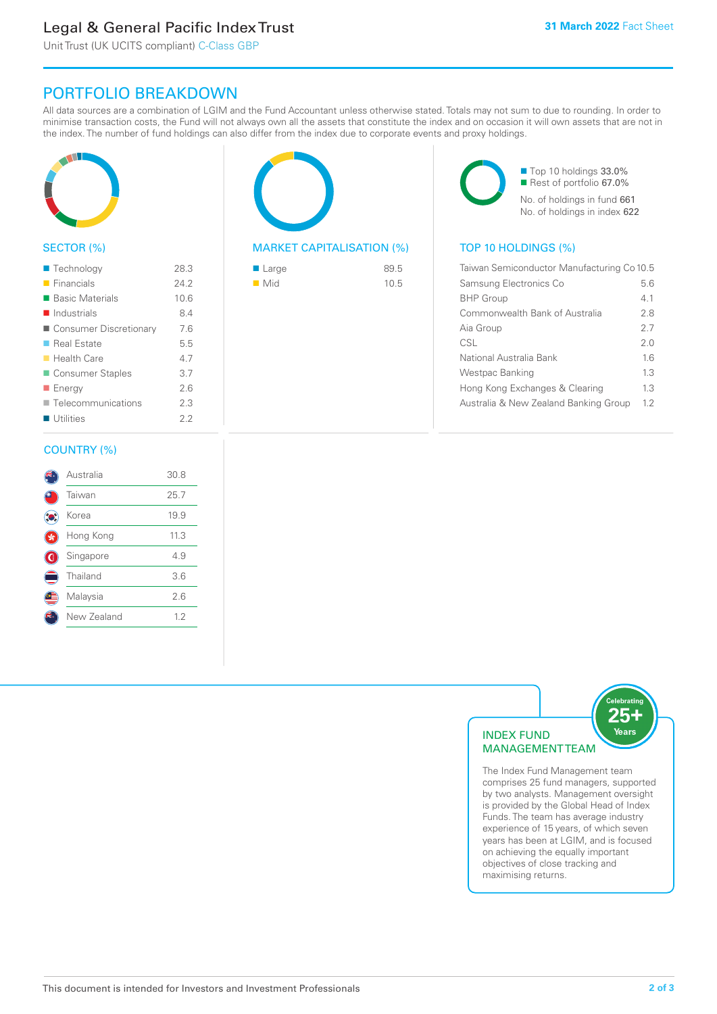# Legal & General Pacific Index Trust

Unit Trust (UK UCITS compliant) C-Class GBP

# PORTFOLIO BREAKDOWN

All data sources are a combination of LGIM and the Fund Accountant unless otherwise stated. Totals may not sum to due to rounding. In order to minimise transaction costs, the Fund will not always own all the assets that constitute the index and on occasion it will own assets that are not in the index. The number of fund holdings can also differ from the index due to corporate events and proxy holdings.



#### SECTOR (%)

| ■ Technology               | 28.3 |
|----------------------------|------|
| $\blacksquare$ Financials  | 24.2 |
| ■ Basic Materials          | 10.6 |
| $\blacksquare$ Industrials | 8.4  |
| ■ Consumer Discretionary   | 7.6  |
| ■ Real Estate              | 5.5  |
| $\blacksquare$ Health Care | 4.7  |
| Consumer Staples           | 3.7  |
| ■ Energy                   | 2.6  |
| Telecommunications         | 2.3  |
| Utilities                  | 22   |
|                            |      |

#### COUNTRY (%)

|     | Australia   | 30.8 |  |
|-----|-------------|------|--|
|     | Taiwan      | 25.7 |  |
| ÎO. | Korea       | 19.9 |  |
|     | Hong Kong   | 11.3 |  |
| ۱   | Singapore   | 4.9  |  |
|     | Thailand    | 3.6  |  |
|     | Malaysia    | 2.6  |  |
|     | New Zealand | 1.2  |  |
|     |             |      |  |



#### MARKET CAPITALISATION (%) TOP 10 HOLDINGS (%)

| ■ Large            | 89.5 |
|--------------------|------|
| $\blacksquare$ Mid | 10.5 |

■ Top 10 holdings 33.0% ■ Rest of portfolio 67.0% No. of holdings in fund 661 No. of holdings in index 622

| Taiwan Semiconductor Manufacturing Co 10.5 |     |  |
|--------------------------------------------|-----|--|
| Samsung Electronics Co                     | 5.6 |  |
| <b>BHP</b> Group                           | 41  |  |
| Commonwealth Bank of Australia             | 28  |  |
| Aia Group                                  | 27  |  |
| CSL                                        | 20  |  |
| National Australia Bank                    | 16  |  |
| Westpac Banking                            | 13  |  |
| Hong Kong Exchanges & Clearing             | 1.3 |  |
| Australia & New Zealand Banking Group      | 12  |  |



The Index Fund Management team comprises 25 fund managers, supported by two analysts. Management oversight is provided by the Global Head of Index Funds. The team has average industry experience of 15 years, of which seven years has been at LGIM, and is focused on achieving the equally important objectives of close tracking and maximising returns.